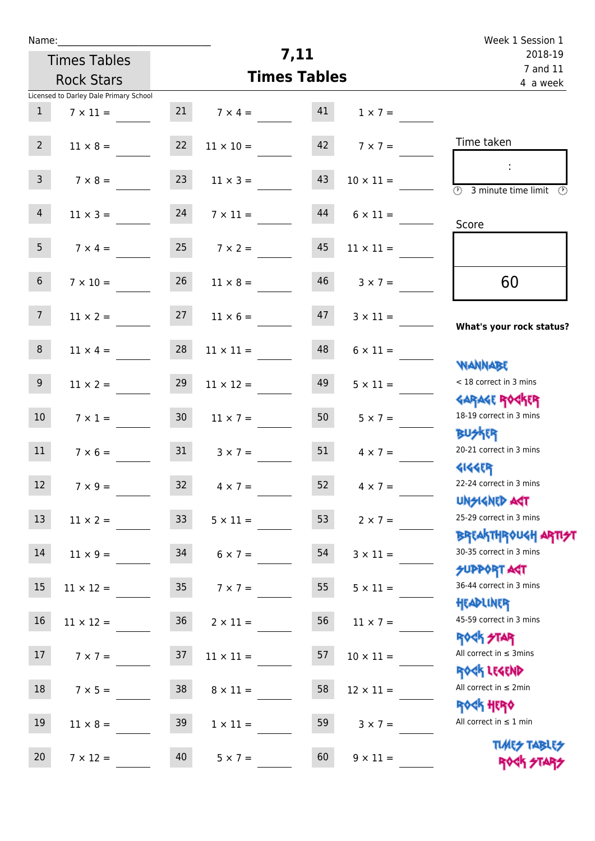| ٠ | а | m |  |  |
|---|---|---|--|--|
|   |   |   |  |  |

| Name:<br><b>Times Tables</b><br><b>Rock Stars</b> |                                        |    |                  | 7,11<br><b>Times Tables</b> | Week 1 Session 1<br>2018-19<br>7 and 11<br>4 a week |                           |
|---------------------------------------------------|----------------------------------------|----|------------------|-----------------------------|-----------------------------------------------------|---------------------------|
|                                                   | Licensed to Darley Dale Primary School |    |                  |                             |                                                     |                           |
| $\mathbf{1}$                                      | $7 \times 11 =$                        | 21 | $7 \times 4 =$   | 41                          | $1 \times 7 =$                                      |                           |
| $\overline{2}$                                    | $11 \times 8 =$                        | 22 | $11 \times 10 =$ | 42                          | $7 \times 7 =$                                      | Time taken                |
| $\mathsf{3}$                                      | $7 \times 8 =$                         | 23 | $11 \times 3 =$  | 43                          | $10 \times 11 =$                                    | 3 minute time limit<br>O) |
| $\overline{4}$                                    | $11 \times 3 =$                        | 24 | $7 \times 11 =$  | 44                          | $6 \times 11 =$                                     | Score                     |
| 5 <sup>1</sup>                                    | $7 \times 4 =$                         | 25 | $7 \times 2 =$   | 45                          | $11\times11=$                                       |                           |
| 6                                                 | $7 \times 10 =$                        | 26 | $11 \times 8 =$  | 46                          | $3 \times 7 =$                                      | 60                        |

## **What's your rock status?**

| WANNABE                    |
|----------------------------|
| $<$ 18 correct in 3 mins   |
| <b>GARAGE ROCKER</b>       |
| 18-19 correct in 3 mins    |
| <b>BUSKRR</b>              |
| 20-21 correct in 3 mins    |
| <b>4144ER</b>              |
| 22-24 correct in 3 mins    |
| <b>UNSIGNED AST</b>        |
| 25-29 correct in 3 mins    |
| <b>BREAKTHROUGH ARTIST</b> |
| 30-35 correct in 3 mins    |
| <b>SUPPORT AGT</b>         |
| 36-44 correct in 3 mins    |

Headliner

45-59 correct in 3 mins

**ROCK STAR** All correct in ≤ 3mins

Rock Legend

All correct in ≤ 2min

Rock Hero

All correct in  $\leq 1$  min

TUNES TABLES ROCK STARS

| 2 <sup>1</sup>  | $11 \times 8 =$  | 22              | $11 \times 10 =$     | 42 | $7 \times 7 =$   |  |
|-----------------|------------------|-----------------|----------------------|----|------------------|--|
| $\overline{3}$  | $7 \times 8 =$   | 23              | $11 \times 3 =$      | 43 | $10 \times 11 =$ |  |
| $\overline{4}$  | $11 \times 3 =$  | 24              | $7 \times 11 =$      | 44 | $6 \times 11 =$  |  |
| 5 <sub>1</sub>  | $7 \times 4 =$   | 25              | $7 \times 2 =$       | 45 | $11 \times 11 =$ |  |
| 6 <sup>1</sup>  | $7 \times 10 =$  | 26              | $11 \times 8 =$      | 46 | $3 \times 7 =$   |  |
| 7 <sup>7</sup>  | $11 \times 2 =$  | 27              | $11 \times 6 =$      | 47 | $3 \times 11 =$  |  |
| 8               | $11 \times 4 =$  | 28              | $11 \times 11 =$     | 48 | $6 \times 11 =$  |  |
| 9               | $11 \times 2 =$  | 29              | $11 \times 12 =$     | 49 | $5 \times 11 =$  |  |
| 10 <sup>°</sup> | $7 \times 1 =$   | 30 <sub>o</sub> | $11 \times 7 =$      | 50 | $5 \times 7 =$   |  |
| 11              | $7 \times 6 =$   |                 | $31 \t 3 \times 7 =$ | 51 | $4 \times 7 =$   |  |
| 12              | $7 \times 9 =$   | 32              | $4 \times 7 =$       | 52 | $4 \times 7 =$   |  |
| 13              | $11 \times 2 =$  | 33 <sup>°</sup> | $5 \times 11 =$      | 53 | $2 \times 7 =$   |  |
| 14              | $11 \times 9 =$  | 34              | $6 \times 7 =$       | 54 | $3 \times 11 =$  |  |
| 15              | $11 \times 12 =$ | 35              | $7 \times 7 =$       | 55 | $5 \times 11 =$  |  |
| 16              | $11 \times 12 =$ | 36 <sup>°</sup> | $2 \times 11 =$      | 56 | $11 \times 7 =$  |  |
| 17              | $7 \times 7 =$   | 37              | $11 \times 11 =$     | 57 | $10 \times 11 =$ |  |
| 18              | $7 \times 5 =$   | 38              | $8 \times 11 =$      | 58 | $12 \times 11 =$ |  |
| 19              | $11 \times 8 =$  | 39              | $1 \times 11 =$      | 59 | $3 \times 7 =$   |  |
| 20 <sub>2</sub> | $7 \times 12 =$  | 40              | $5 \times 7 =$       | 60 | $9 \times 11 =$  |  |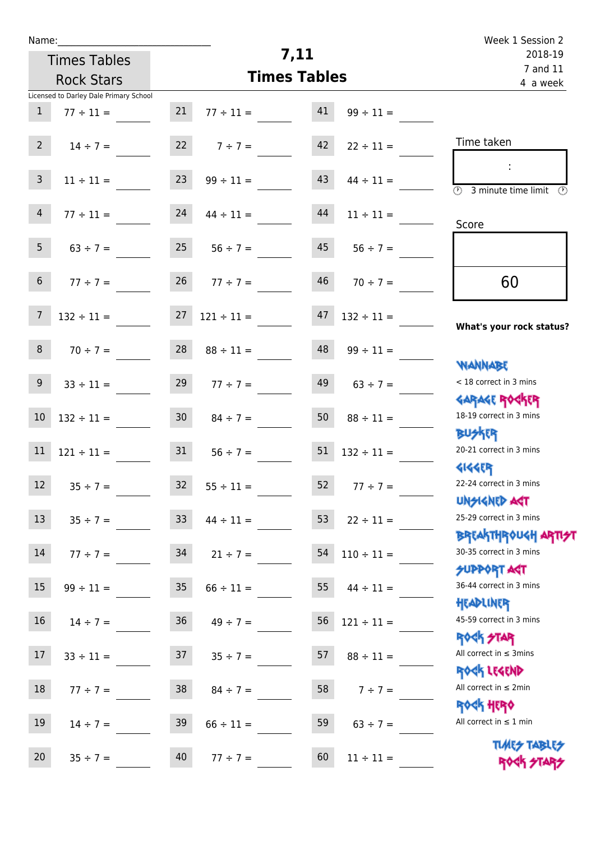| u | am |  |  |
|---|----|--|--|
|   |    |  |  |

| Name:               |                                                          |                 |                    | 7,11                |                 | Week 1 Session 2<br>2018-19                                      |
|---------------------|----------------------------------------------------------|-----------------|--------------------|---------------------|-----------------|------------------------------------------------------------------|
| <b>Times Tables</b> |                                                          |                 |                    | 7 and 11            |                 |                                                                  |
|                     | <b>Rock Stars</b>                                        |                 |                    | <b>Times Tables</b> |                 | 4 a week                                                         |
| $\mathbf{1}$        | Licensed to Darley Dale Primary School<br>$77 \div 11 =$ | 21              | $77 \div 11 =$     | 41                  | $99 \div 11 =$  |                                                                  |
| $2^{\circ}$         | $14 \div 7 =$                                            |                 | 22 $7 \div 7 =$    | 42                  | $22 \div 11 =$  | Time taken                                                       |
| $\mathsf{3}$        | $11 \div 11 =$                                           | 23              | $99 \div 11 =$     | 43                  | $44 \div 11 =$  | $\overline{(\mathcal{V})}$<br>3 minute time limit<br>O)          |
| $\overline{4}$      | $77 \div 11 =$                                           | 24              | $44 \div 11 =$     | 44                  | $11 \div 11 =$  | Score                                                            |
| 5 <sub>1</sub>      | $63 \div 7 =$                                            | 25              | $56 \div 7 =$      | 45                  | $56 \div 7 =$   |                                                                  |
| 6 <sup>1</sup>      | $77 \div 7 =$                                            |                 | $26$ $77 \div 7 =$ | 46                  | $70 \div 7 =$   | 60                                                               |
| $\overline{7}$      | $132 \div 11 =$                                          | 27              | $121 \div 11 =$    | 47                  | $132 \div 11 =$ | What's your rock status?                                         |
| 8                   | $70 \div 7 =$                                            | 28              | $88 \div 11 =$     | 48                  | $99 \div 11 =$  |                                                                  |
| 9                   | $33 \div 11 =$                                           | 29              | $77 \div 7 =$      | 49                  | $63 \div 7 =$   | <b>WANNABE</b><br>< 18 correct in 3 mins                         |
| 10                  | $132 \div 11 =$                                          | 30 <sup>°</sup> | $84 \div 7 =$      | 50                  | $88 \div 11 =$  | <b>GARAGE ROGKER</b><br>18-19 correct in 3 mins<br>刚外四           |
| 11                  | $121 \div 11 =$                                          | 31              | $56 \div 7 =$      | 51                  | $132 \div 11 =$ | 20-21 correct in 3 mins                                          |
| 12                  | $35 ÷ 7 =$                                               | 32              | $55 \div 11 =$     | 52                  | $77 ÷ 7 =$      | 41445<br>22-24 correct in 3 mins                                 |
| 13                  | $35 ÷ 7 =$                                               | 33              | $44 \div 11 =$     | 53                  | $22 \div 11 =$  | <b>UNSIGNED AGT</b><br>25-29 correct in 3 mins                   |
| 14                  | $77 ÷ 7 =$                                               | 34              | $21 \div 7 =$      | 54                  | $110 \div 11 =$ | <b>BREAKTHROUGH ARTI<del>S</del>T</b><br>30-35 correct in 3 mins |
| 15                  | $99 \div 11 =$                                           | 35              | $66 \div 11 =$     | 55                  | $44 \div 11 =$  | <b>SUPPORT ART</b><br>36-44 correct in 3 mins                    |

16  $14 \div 7 =$  36  $49 \div 7 =$  56  $121 \div 11 =$ 

17  $33 \div 11 =$  37  $35 \div 7 =$  57  $88 \div 11 =$ 

18  $77 \div 7 =$  38  $84 \div 7 =$  58  $7 \div 7 =$ 

19  $14 \div 7 =$  39  $66 \div 11 =$  59  $63 \div 7 =$ 

20  $35 \div 7 =$  40  $77 \div 7 =$  60  $11 \div 11 =$ 

Headliner 45-59 correct in 3 mins

**ROCK STAR** All correct in  $\leq 3$ mins

Rock Legend All correct in ≤ 2min

Rock Hero

All correct in  $\leq 1$  min

**TIMES TABLES** ROCK STAP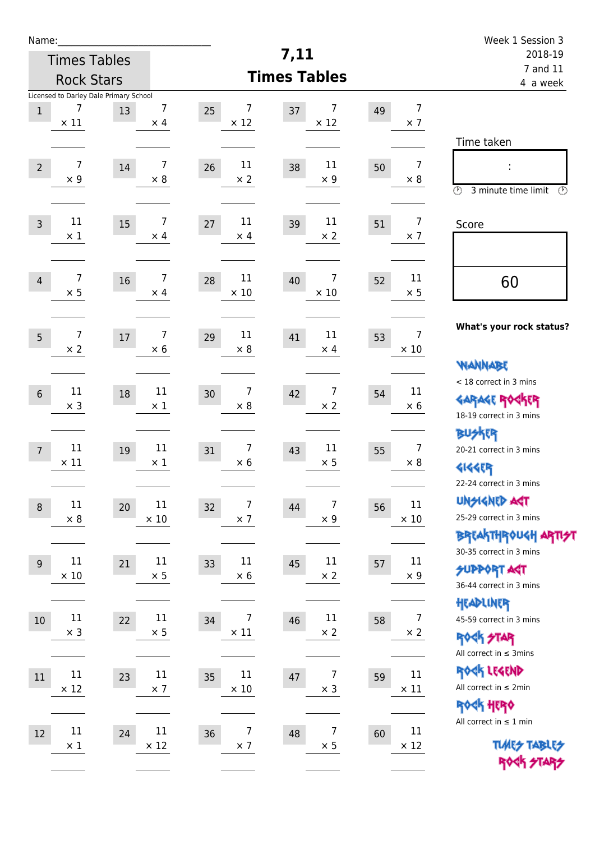| Name:          |                                                                  |                              |                         |                                    |                   | Week 1 Session 3                                                                                                        |
|----------------|------------------------------------------------------------------|------------------------------|-------------------------|------------------------------------|-------------------|-------------------------------------------------------------------------------------------------------------------------|
|                | <b>Times Tables</b>                                              |                              |                         | 7,11                               |                   | 2018-19                                                                                                                 |
|                | <b>Rock Stars</b>                                                |                              |                         | <b>Times Tables</b>                |                   | 7 and 11<br>4 a week                                                                                                    |
| $\mathbf{1}$   | Licensed to Darley Dale Primary School<br>7<br>13<br>$\times$ 11 | $\overline{7}$<br>$\times$ 4 | 7<br>25<br>$\times$ 12  | 7<br>37<br>$\times$ 12             | 49                | $\overline{7}$<br>$\times$ 7                                                                                            |
| $\overline{2}$ | 7<br>14<br>$\times$ 9                                            | 7<br>$\times 8$              | 11<br>26<br>$\times 2$  | 11<br>38<br>$\times$ 9             | 50                | Time taken<br>$\overline{7}$<br>t,<br>$\times 8$<br>$\circledcirc$<br>3 minute time limit<br>⊕                          |
| $\overline{3}$ | 11<br>15<br>$\times$ 1                                           | $\overline{7}$<br>$\times$ 4 | 11<br>27<br>$\times$ 4  | 11<br>39<br>$\times 2$             | 51                | $\overline{7}$<br>Score<br>$\times$ 7                                                                                   |
| $\overline{4}$ | 7<br>16<br>$\times$ 5                                            | $\overline{7}$<br>$\times$ 4 | 11<br>28<br>$\times$ 10 | 7<br>40<br>$\times$ 10             | 52<br>$\times$ 5  | 11<br>60                                                                                                                |
| 5              | 7<br>$17\,$<br>$\times 2$                                        | 7<br>$\times 6$              | 11<br>29<br>$\times 8$  | 11<br>41<br>$\times$ 4             | 53<br>$\times$ 10 | What's your rock status?<br>$\overline{7}$<br><b>WANNABE</b>                                                            |
| $6\,$          | 11<br>18<br>$\times$ 3                                           | 11<br>$\times$ 1             | 7<br>30<br>$\times 8$   | $\overline{7}$<br>42<br>$\times$ 2 | 54                | < 18 correct in 3 mins<br>11<br><b>GARAGE ROGKER</b><br>$\times 6$<br>18-19 correct in 3 mins                           |
| $\overline{7}$ | 11<br>19<br>$\times$ 11                                          | 11<br>$\times$ 1             | 7<br>31<br>$\times 6$   | 11<br>43<br>$\times 5$             | 55<br>$\times 8$  | <b>BU外界</b><br>$\overline{7}$<br>20-21 correct in 3 mins<br><b>4144EP</b><br>22-24 correct in 3 mins                    |
| $\,8\,$        | 11<br>20<br>$\times$ 8                                           | 11<br>$\times$ 10            | 7<br>32<br>$\times$ 7   | $\overline{7}$<br>44<br>$\times$ 9 | 56<br>$\times$ 10 | <b>UNGIGNED AGT</b><br>11<br>25-29 correct in 3 mins<br>ΒΡΓΑ <sup>Κ</sup> ΤΗΡΟυΚΗ ΑΡΤΙ <del>2</del> Τ                   |
| 9              | 11<br>21<br>$\times$ 10                                          | 11<br>$\times$ 5             | 11<br>33<br>$\times$ 6  | $11\,$<br>45<br>$\times$ 2         | 57                | 30-35 correct in 3 mins<br>11<br><b>SUPPORT AST</b><br>$\times 9$<br>36-44 correct in 3 mins                            |
| 10             | 11<br>22<br>$\times$ 3                                           | 11<br>$\times$ 5             | 7<br>34<br>$\times$ 11  | 11<br>46<br>$\times$ 2             | 58                | HEADLINER<br>$\overline{7}$<br>45-59 correct in 3 mins<br>$\times 2$<br><b>ROCK STAR</b><br>All correct in $\leq$ 3mins |
| 11             | 11<br>23<br>$\times$ 12                                          | 11<br>$\times$ 7             | 11<br>35<br>$\times$ 10 | $\overline{7}$<br>47<br>$\times$ 3 | 59<br>$\times$ 11 | ROCK LEGEND<br>11<br>All correct in $\leq 2$ min<br>ROCK HERO                                                           |
| 12             | $11\,$<br>24<br>$\times$ 1                                       | 11<br>$\times$ 12            | 7<br>36<br>$\times$ 7   | $\overline{7}$<br>48<br>$\times$ 5 | 60<br>$\times$ 12 | All correct in $\leq 1$ min<br>$11\,$<br><b>TUARS TABLES</b><br>ROCK STARS                                              |